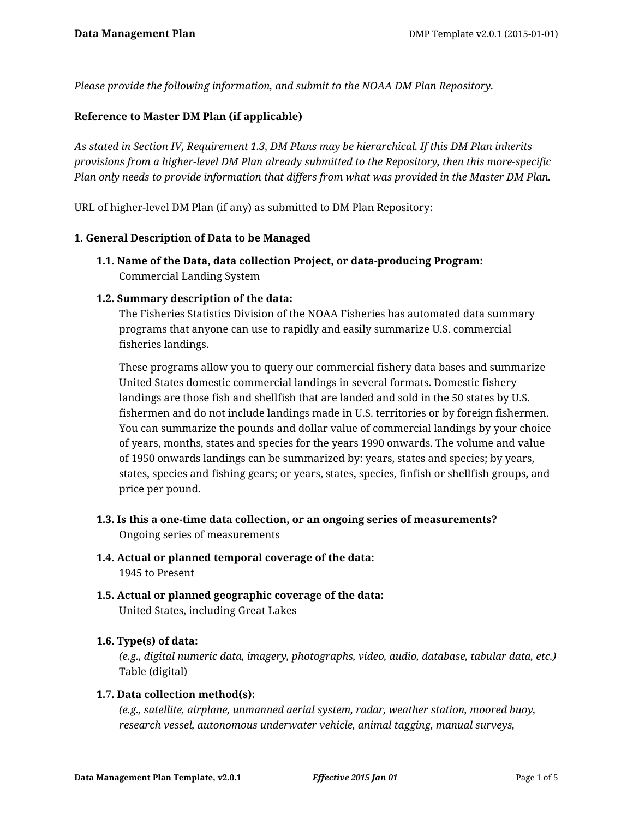*Please provide the following information, and submit to the NOAA DM Plan Repository.*

## **Reference to Master DM Plan (if applicable)**

*As stated in Section IV, Requirement 1.3, DM Plans may be hierarchical. If this DM Plan inherits provisions from a higher-level DM Plan already submitted to the Repository, then this more-specific Plan only needs to provide information that differs from what was provided in the Master DM Plan.*

URL of higher-level DM Plan (if any) as submitted to DM Plan Repository:

#### **1. General Description of Data to be Managed**

**1.1. Name of the Data, data collection Project, or data-producing Program:** Commercial Landing System

### **1.2. Summary description of the data:**

The Fisheries Statistics Division of the NOAA Fisheries has automated data summary programs that anyone can use to rapidly and easily summarize U.S. commercial fisheries landings.

These programs allow you to query our commercial fishery data bases and summarize United States domestic commercial landings in several formats. Domestic fishery landings are those fish and shellfish that are landed and sold in the 50 states by U.S. fishermen and do not include landings made in U.S. territories or by foreign fishermen. You can summarize the pounds and dollar value of commercial landings by your choice of years, months, states and species for the years 1990 onwards. The volume and value of 1950 onwards landings can be summarized by: years, states and species; by years, states, species and fishing gears; or years, states, species, finfish or shellfish groups, and price per pound.

- **1.3. Is this a one-time data collection, or an ongoing series of measurements?** Ongoing series of measurements
- **1.4. Actual or planned temporal coverage of the data:** 1945 to Present
- **1.5. Actual or planned geographic coverage of the data:** United States, including Great Lakes

#### **1.6. Type(s) of data:**

*(e.g., digital numeric data, imagery, photographs, video, audio, database, tabular data, etc.)* Table (digital)

#### **1.7. Data collection method(s):**

*(e.g., satellite, airplane, unmanned aerial system, radar, weather station, moored buoy, research vessel, autonomous underwater vehicle, animal tagging, manual surveys,*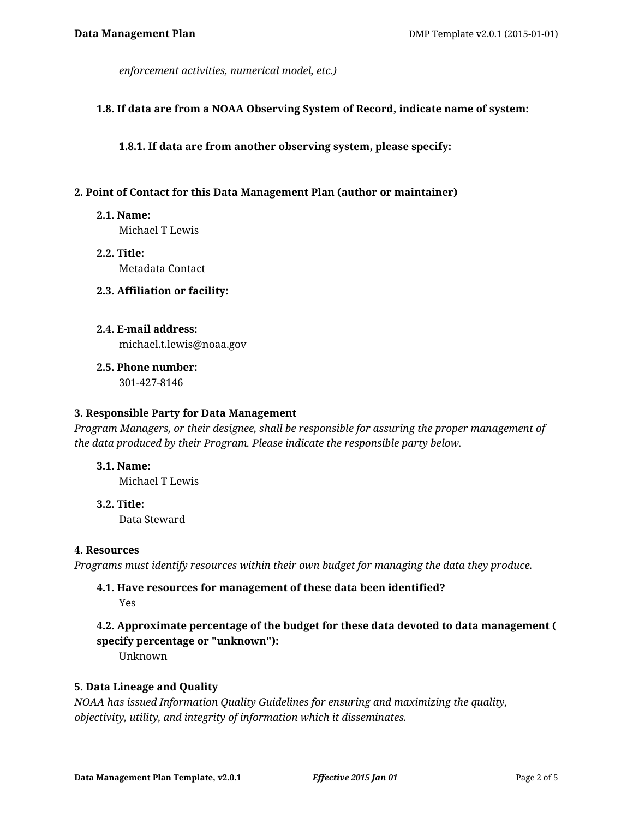*enforcement activities, numerical model, etc.)*

#### **1.8. If data are from a NOAA Observing System of Record, indicate name of system:**

**1.8.1. If data are from another observing system, please specify:**

#### **2. Point of Contact for this Data Management Plan (author or maintainer)**

**2.1. Name:**

Michael T Lewis

**2.2. Title:** Metadata Contact

#### **2.3. Affiliation or facility:**

- **2.4. E-mail address:** michael.t.lewis@noaa.gov
- **2.5. Phone number:**

301-427-8146

#### **3. Responsible Party for Data Management**

*Program Managers, or their designee, shall be responsible for assuring the proper management of the data produced by their Program. Please indicate the responsible party below.*

#### **3.1. Name:**

Michael T Lewis

**3.2. Title:** Data Steward

#### **4. Resources**

*Programs must identify resources within their own budget for managing the data they produce.*

# **4.1. Have resources for management of these data been identified?**

Yes

# **4.2. Approximate percentage of the budget for these data devoted to data management ( specify percentage or "unknown"):**

Unknown

#### **5. Data Lineage and Quality**

*NOAA has issued Information Quality Guidelines for ensuring and maximizing the quality, objectivity, utility, and integrity of information which it disseminates.*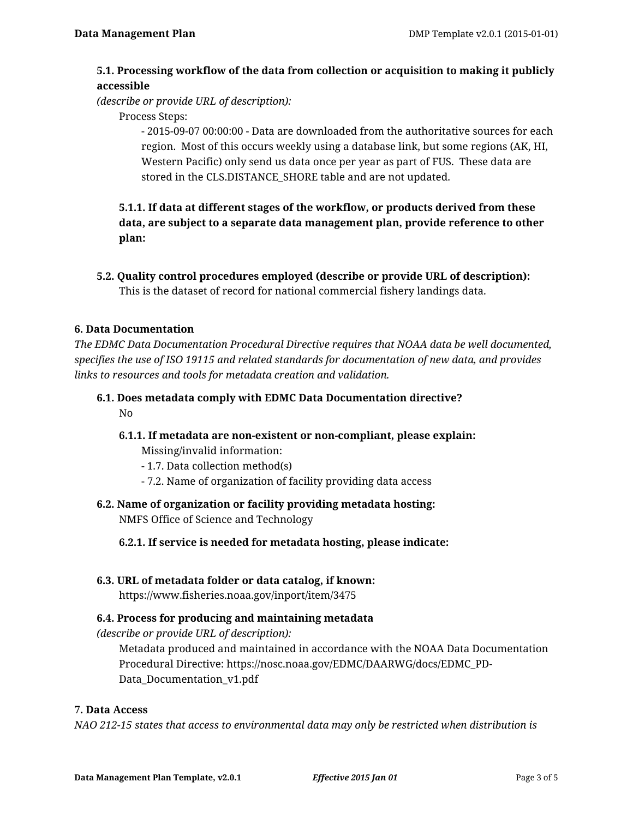# **5.1. Processing workflow of the data from collection or acquisition to making it publicly accessible**

*(describe or provide URL of description):*

Process Steps:

- 2015-09-07 00:00:00 - Data are downloaded from the authoritative sources for each region. Most of this occurs weekly using a database link, but some regions (AK, HI, Western Pacific) only send us data once per year as part of FUS. These data are stored in the CLS.DISTANCE\_SHORE table and are not updated.

**5.1.1. If data at different stages of the workflow, or products derived from these data, are subject to a separate data management plan, provide reference to other plan:**

**5.2. Quality control procedures employed (describe or provide URL of description):** This is the dataset of record for national commercial fishery landings data.

### **6. Data Documentation**

*The EDMC Data Documentation Procedural Directive requires that NOAA data be well documented, specifies the use of ISO 19115 and related standards for documentation of new data, and provides links to resources and tools for metadata creation and validation.*

# **6.1. Does metadata comply with EDMC Data Documentation directive?** No

**6.1.1. If metadata are non-existent or non-compliant, please explain:**

Missing/invalid information:

- 1.7. Data collection method(s)
- 7.2. Name of organization of facility providing data access
- **6.2. Name of organization or facility providing metadata hosting:** NMFS Office of Science and Technology

**6.2.1. If service is needed for metadata hosting, please indicate:**

**6.3. URL of metadata folder or data catalog, if known:**

https://www.fisheries.noaa.gov/inport/item/3475

# **6.4. Process for producing and maintaining metadata**

*(describe or provide URL of description):*

Metadata produced and maintained in accordance with the NOAA Data Documentation Procedural Directive: https://nosc.noaa.gov/EDMC/DAARWG/docs/EDMC\_PD-Data\_Documentation\_v1.pdf

#### **7. Data Access**

*NAO 212-15 states that access to environmental data may only be restricted when distribution is*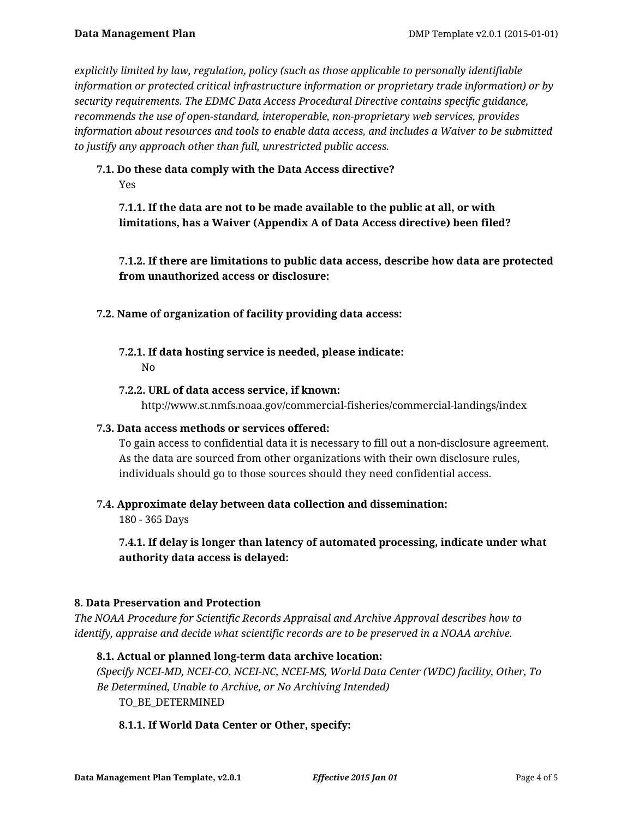*explicitly limited by law, regulation, policy (such as those applicable to personally identifiable information or protected critical infrastructure information or proprietary trade information) or by security requirements. The EDMC Data Access Procedural Directive contains specific guidance, recommends the use of open-standard, interoperable, non-proprietary web services, provides information about resources and tools to enable data access, and includes a Waiver to be submitted to justify any approach other than full, unrestricted public access.*

# **7.1. Do these data comply with the Data Access directive?**

Yes

**7.1.1. If the data are not to be made available to the public at all, or with limitations, has a Waiver (Appendix A of Data Access directive) been filed?**

**7.1.2. If there are limitations to public data access, describe how data are protected from unauthorized access or disclosure:**

# **7.2. Name of organization of facility providing data access:**

**7.2.1. If data hosting service is needed, please indicate:** No

# **7.2.2. URL of data access service, if known:**

http://www.st.nmfs.noaa.gov/commercial-fisheries/commercial-landings/index

# **7.3. Data access methods or services offered:**

To gain access to confidential data it is necessary to fill out a non-disclosure agreement. As the data are sourced from other organizations with their own disclosure rules, individuals should go to those sources should they need confidential access.

# **7.4. Approximate delay between data collection and dissemination:**

180 - 365 Days

**7.4.1. If delay is longer than latency of automated processing, indicate under what authority data access is delayed:**

# **8. Data Preservation and Protection**

*The NOAA Procedure for Scientific Records Appraisal and Archive Approval describes how to identify, appraise and decide what scientific records are to be preserved in a NOAA archive.*

# **8.1. Actual or planned long-term data archive location:**

*(Specify NCEI-MD, NCEI-CO, NCEI-NC, NCEI-MS, World Data Center (WDC) facility, Other, To Be Determined, Unable to Archive, or No Archiving Intended)*

# TO BE DETERMINED

# **8.1.1. If World Data Center or Other, specify:**